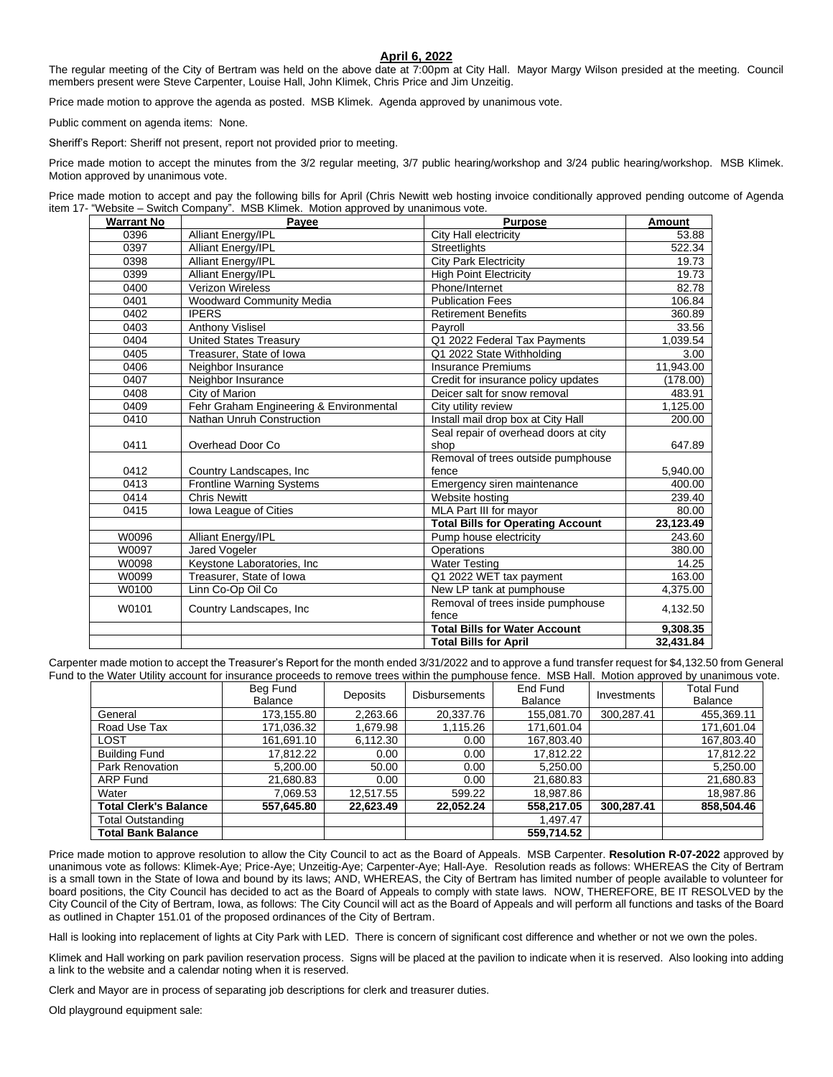## **April 6, 2022**

The regular meeting of the City of Bertram was held on the above date at 7:00pm at City Hall. Mayor Margy Wilson presided at the meeting. Council members present were Steve Carpenter, Louise Hall, John Klimek, Chris Price and Jim Unzeitig.

Price made motion to approve the agenda as posted. MSB Klimek. Agenda approved by unanimous vote.

Public comment on agenda items: None.

Sheriff's Report: Sheriff not present, report not provided prior to meeting.

Price made motion to accept the minutes from the 3/2 regular meeting, 3/7 public hearing/workshop and 3/24 public hearing/workshop. MSB Klimek. Motion approved by unanimous vote.

Price made motion to accept and pay the following bills for April (Chris Newitt web hosting invoice conditionally approved pending outcome of Agenda item 17- "Website – Switch Company". MSB Klimek. Motion approved by unanimous vote.

| <b>Warrant No</b> | Payee                                   | <b>Purpose</b>                           | <b>Amount</b> |
|-------------------|-----------------------------------------|------------------------------------------|---------------|
| 0396              | <b>Alliant Energy/IPL</b>               | City Hall electricity                    | 53.88         |
| 0397              | <b>Alliant Energy/IPL</b>               | <b>Streetlights</b>                      | 522.34        |
| 0398              | Alliant Energy/IPL                      | <b>City Park Electricity</b>             | 19.73         |
| 0399              | <b>Alliant Energy/IPL</b>               | <b>High Point Electricity</b>            | 19.73         |
| 0400              | <b>Verizon Wireless</b>                 | Phone/Internet                           | 82.78         |
| 0401              | <b>Woodward Community Media</b>         | <b>Publication Fees</b>                  | 106.84        |
| 0402              | <b>IPERS</b>                            | <b>Retirement Benefits</b>               | 360.89        |
| 0403              | <b>Anthony Vislisel</b>                 | Payroll                                  | 33.56         |
| 0404              | <b>United States Treasury</b>           | Q1 2022 Federal Tax Payments             | 1,039.54      |
| 0405              | Treasurer, State of Iowa                | Q1 2022 State Withholding                | 3.00          |
| 0406              | Neighbor Insurance                      | <b>Insurance Premiums</b>                | 11,943.00     |
| 0407              | Neighbor Insurance                      | Credit for insurance policy updates      | (178.00)      |
| 0408              | City of Marion                          | Deicer salt for snow removal             | 483.91        |
| 0409              | Fehr Graham Engineering & Environmental | City utility review                      | 1,125.00      |
| 0410              | Nathan Unruh Construction               | Install mail drop box at City Hall       | 200.00        |
|                   |                                         | Seal repair of overhead doors at city    |               |
| 0411              | Overhead Door Co                        | shop                                     | 647.89        |
|                   |                                         | Removal of trees outside pumphouse       |               |
| 0412              | Country Landscapes, Inc.                | fence                                    | 5,940.00      |
| 0413              | Frontline Warning Systems               | Emergency siren maintenance              | 400.00        |
| 0414              | <b>Chris Newitt</b>                     | Website hosting                          | 239.40        |
| 0415              | Iowa League of Cities                   | MLA Part III for mayor                   | 80.00         |
|                   |                                         | <b>Total Bills for Operating Account</b> | 23,123.49     |
| W0096             | <b>Alliant Energy/IPL</b>               | Pump house electricity                   | 243.60        |
| W0097             | Jared Vogeler                           | Operations                               | 380.00        |
| W0098             | Keystone Laboratories, Inc.             | <b>Water Testing</b>                     | 14.25         |
| W0099             | Treasurer, State of Iowa                | Q1 2022 WET tax payment                  | 163.00        |
| W0100             | Linn Co-Op Oil Co                       | New LP tank at pumphouse                 | 4,375.00      |
| W0101             | Country Landscapes, Inc.                | Removal of trees inside pumphouse        | 4,132.50      |
|                   |                                         | fence                                    |               |
|                   |                                         | <b>Total Bills for Water Account</b>     | 9,308.35      |
|                   |                                         | <b>Total Bills for April</b>             | 32.431.84     |

Carpenter made motion to accept the Treasurer's Report for the month ended 3/31/2022 and to approve a fund transfer request for \$4,132.50 from General Fund to the Water Utility account for insurance proceeds to remove trees within the pumphouse fence. MSB Hall. Motion approved by unanimous vote.

|                              | Beg Fund<br>Balance | Deposits  | <b>Disbursements</b> | End Fund<br><b>Balance</b> | Investments | <b>Total Fund</b><br><b>Balance</b> |
|------------------------------|---------------------|-----------|----------------------|----------------------------|-------------|-------------------------------------|
| General                      | 173,155.80          | 2,263.66  | 20.337.76            | 155,081.70                 | 300,287.41  | 455,369.11                          |
| Road Use Tax                 | 171,036.32          | 1,679.98  | 1.115.26             | 171,601.04                 |             | 171,601.04                          |
| <b>LOST</b>                  | 161,691.10          | 6,112.30  | 0.00                 | 167,803.40                 |             | 167,803.40                          |
| <b>Building Fund</b>         | 17,812.22           | 0.00      | 0.00                 | 17,812.22                  |             | 17,812.22                           |
| Park Renovation              | 5.200.00            | 50.00     | 0.00                 | 5,250.00                   |             | 5,250.00                            |
| <b>ARP Fund</b>              | 21,680.83           | 0.00      | 0.00                 | 21,680.83                  |             | 21,680.83                           |
| Water                        | 7,069.53            | 12,517.55 | 599.22               | 18,987.86                  |             | 18,987.86                           |
| <b>Total Clerk's Balance</b> | 557,645.80          | 22.623.49 | 22.052.24            | 558,217.05                 | 300.287.41  | 858,504.46                          |
| Total Outstanding            |                     |           |                      | 1.497.47                   |             |                                     |
| <b>Total Bank Balance</b>    |                     |           |                      | 559.714.52                 |             |                                     |

Price made motion to approve resolution to allow the City Council to act as the Board of Appeals. MSB Carpenter. **Resolution R-07-2022** approved by unanimous vote as follows: Klimek-Aye; Price-Aye; Unzeitig-Aye; Carpenter-Aye; Hall-Aye. Resolution reads as follows: WHEREAS the City of Bertram is a small town in the State of Iowa and bound by its laws; AND, WHEREAS, the City of Bertram has limited number of people available to volunteer for board positions, the City Council has decided to act as the Board of Appeals to comply with state laws. NOW, THEREFORE, BE IT RESOLVED by the City Council of the City of Bertram, Iowa, as follows: The City Council will act as the Board of Appeals and will perform all functions and tasks of the Board as outlined in Chapter 151.01 of the proposed ordinances of the City of Bertram.

Hall is looking into replacement of lights at City Park with LED. There is concern of significant cost difference and whether or not we own the poles.

Klimek and Hall working on park pavilion reservation process. Signs will be placed at the pavilion to indicate when it is reserved. Also looking into adding a link to the website and a calendar noting when it is reserved.

Clerk and Mayor are in process of separating job descriptions for clerk and treasurer duties.

Old playground equipment sale: